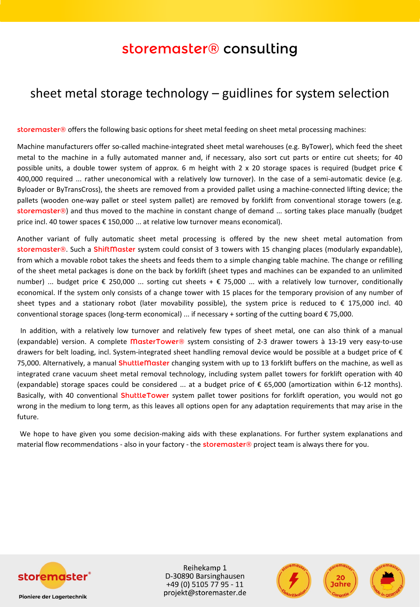## storemaster® consulting

## sheet metal storage technology – guidlines for system selection

storemaster® offers the following basic options for sheet metal feeding on sheet metal processing machines:

Machine manufacturers offer so-called machine-integrated sheet metal warehouses (e.g. ByTower), which feed the sheet metal to the machine in a fully automated manner and, if necessary, also sort cut parts or entire cut sheets; for 40 possible units, a double tower system of approx. 6 m height with 2 x 20 storage spaces is required (budget price  $\epsilon$ 400,000 required ... rather uneconomical with a relatively low turnover). In the case of a semi-automatic device (e.g. Byloader or ByTransCross), the sheets are removed from a provided pallet using a machine-connected lifting device; the pallets (wooden one-way pallet or steel system pallet) are removed by forklift from conventional storage towers (e.g. storemaster®) and thus moved to the machine in constant change of demand ... sorting takes place manually (budget price incl. 40 tower spaces € 150,000 ... at relative low turnover means economical).

Another variant of fully automatic sheet metal processing is offered by the new sheet metal automation from storemaster®. Such a ShiftMaster system could consist of 3 towers with 15 changing places (modularly expandable), from which a movable robot takes the sheets and feeds them to a simple changing table machine. The change or refilling of the sheet metal packages is done on the back by forklift (sheet types and machines can be expanded to an unlimited number) ... budget price € 250,000 ... sorting cut sheets + € 75,000 ... with a relatively low turnover, conditionally economical. If the system only consists of a change tower with 15 places for the temporary provision of any number of sheet types and a stationary robot (later movability possible), the system price is reduced to € 175,000 incl. 40 conventional storage spaces (long-term economical) ... if necessary + sorting of the cutting board  $\epsilon$  75,000.

In addition, with a relatively low turnover and relatively few types of sheet metal, one can also think of a manual (expandable) version. A complete MasterTower® system consisting of 2-3 drawer towers à 13-19 very easy-to-use drawers for belt loading, incl. System-integrated sheet handling removal device would be possible at a budget price of € 75,000. Alternatively, a manual ShuttleMaster changing system with up to 13 forklift buffers on the machine, as well as integrated crane vacuum sheet metal removal technology, including system pallet towers for forklift operation with 40 (expandable) storage spaces could be considered ... at a budget price of  $\epsilon$  65,000 (amortization within 6-12 months). Basically, with 40 conventional ShuttleTower system pallet tower positions for forklift operation, you would not go wrong in the medium to long term, as this leaves all options open for any adaptation requirements that may arise in the future.

We hope to have given you some decision-making aids with these explanations. For further system explanations and material flow recommendations - also in your factory - the storemaster® project team is always there for you.



Reihekamp 1 D-30890 Barsinghausen +49 (0) 5105 77 95 - 11 projekt@storemaster.de



**Pioniere der Lagertechnik**